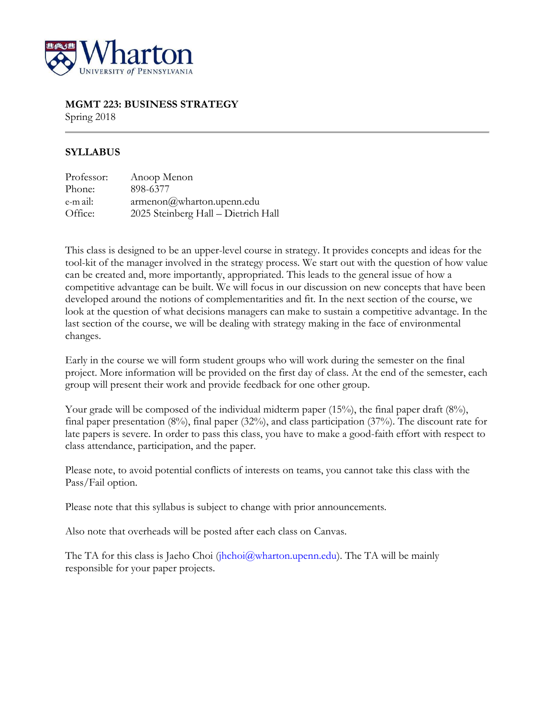

# **MGMT 223: BUSINESS STRATEGY**

Spring 2018

# **SYLLABUS**

| Professor: | Anoop Menon                               |
|------------|-------------------------------------------|
| Phone:     | 898-6377                                  |
| e-m ail:   | $\alpha$ menon $\omega$ wharton.upenn.edu |
| Office:    | 2025 Steinberg Hall - Dietrich Hall       |

This class is designed to be an upper-level course in strategy. It provides concepts and ideas for the tool-kit of the manager involved in the strategy process. We start out with the question of how value can be created and, more importantly, appropriated. This leads to the general issue of how a competitive advantage can be built. We will focus in our discussion on new concepts that have been developed around the notions of complementarities and fit. In the next section of the course, we look at the question of what decisions managers can make to sustain a competitive advantage. In the last section of the course, we will be dealing with strategy making in the face of environmental changes.

Early in the course we will form student groups who will work during the semester on the final project. More information will be provided on the first day of class. At the end of the semester, each group will present their work and provide feedback for one other group.

Your grade will be composed of the individual midterm paper (15%), the final paper draft (8%), final paper presentation (8%), final paper (32%), and class participation (37%). The discount rate for late papers is severe. In order to pass this class, you have to make a good-faith effort with respect to class attendance, participation, and the paper.

Please note, to avoid potential conflicts of interests on teams, you cannot take this class with the Pass/Fail option.

Please note that this syllabus is subject to change with prior announcements.

Also note that overheads will be posted after each class on Canvas.

The TA for this class is Jaeho Choi (jhchoi@wharton.upenn.edu). The TA will be mainly responsible for your paper projects.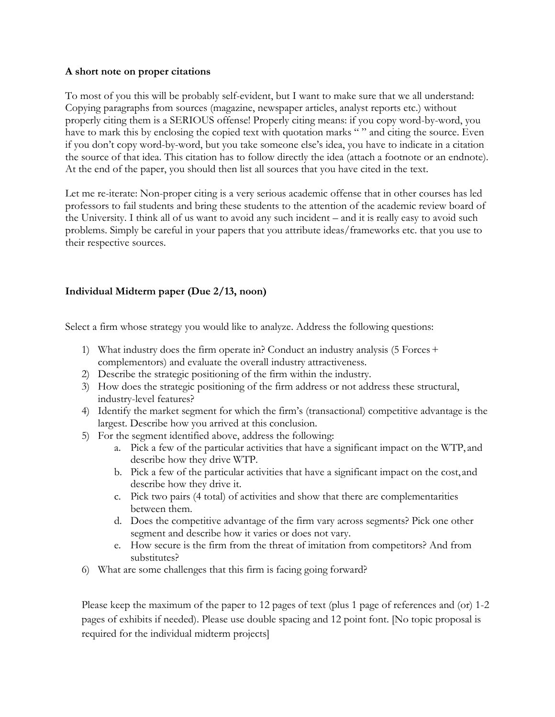#### **A short note on proper citations**

To most of you this will be probably self-evident, but I want to make sure that we all understand: Copying paragraphs from sources (magazine, newspaper articles, analyst reports etc.) without properly citing them is a SERIOUS offense! Properly citing means: if you copy word-by-word, you have to mark this by enclosing the copied text with quotation marks "" and citing the source. Even if you don't copy word-by-word, but you take someone else's idea, you have to indicate in a citation the source of that idea. This citation has to follow directly the idea (attach a footnote or an endnote). At the end of the paper, you should then list all sources that you have cited in the text.

Let me re-iterate: Non-proper citing is a very serious academic offense that in other courses has led professors to fail students and bring these students to the attention of the academic review board of the University. I think all of us want to avoid any such incident – and it is really easy to avoid such problems. Simply be careful in your papers that you attribute ideas/frameworks etc. that you use to their respective sources.

# **Individual Midterm paper (Due 2/13, noon)**

Select a firm whose strategy you would like to analyze. Address the following questions:

- 1) What industry does the firm operate in? Conduct an industry analysis (5 Forces  $+$ complementors) and evaluate the overall industry attractiveness.
- 2) Describe the strategic positioning of the firm within the industry.
- 3) How does the strategic positioning of the firm address or not address these structural, industry-level features?
- 4) Identify the market segment for which the firm's (transactional) competitive advantage is the largest. Describe how you arrived at this conclusion.
- 5) For the segment identified above, address the following:
	- a. Pick a few of the particular activities that have a significant impact on the WTP, and describe how they drive WTP.
	- b. Pick a few of the particular activities that have a significant impact on the cost, and describe how they drive it.
	- c. Pick two pairs (4 total) of activities and show that there are complementarities between them.
	- d. Does the competitive advantage of the firm vary across segments? Pick one other segment and describe how it varies or does not vary.
	- e. How secure is the firm from the threat of imitation from competitors? And from substitutes?
- 6) What are some challenges that this firm is facing going forward?

Please keep the maximum of the paper to 12 pages of text (plus 1 page of references and (or) 1-2 pages of exhibits if needed). Please use double spacing and 12 point font. [No topic proposal is required for the individual midterm projects]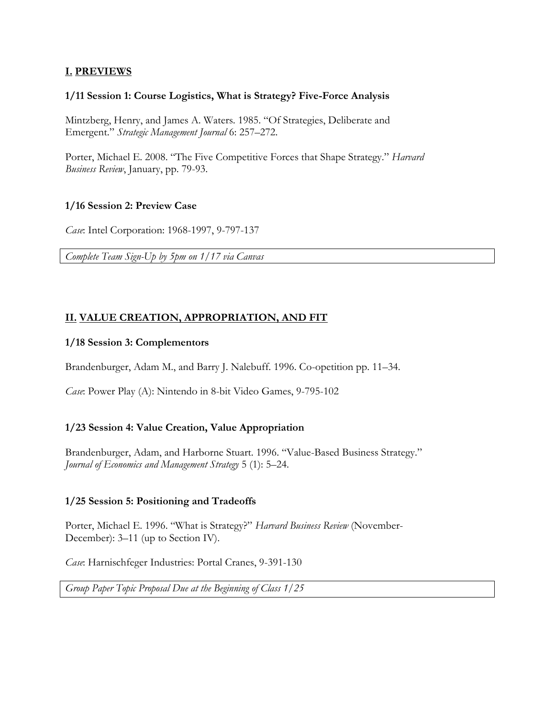# **I. PREVIEWS**

#### **1/11 Session 1: Course Logistics, What is Strategy? Five-Force Analysis**

Mintzberg, Henry, and James A. Waters. 1985. "Of Strategies, Deliberate and Emergent." *Strategic Management Journal* 6: 257–272.

Porter, Michael E. 2008. "The Five Competitive Forces that Shape Strategy." *Harvard Business Review*, January, pp. 79-93.

#### **1/16 Session 2: Preview Case**

*Case*: Intel Corporation: 1968-1997, 9-797-137

*Complete Team Sign-Up by 5pm on 1/17 via Canvas*

# **II. VALUE CREATION, APPROPRIATION, AND FIT**

#### **1/18 Session 3: Complementors**

Brandenburger, Adam M., and Barry J. Nalebuff. 1996. Co-opetition pp. 11–34.

*Case*: Power Play (A): Nintendo in 8-bit Video Games, 9-795-102

### **1/23 Session 4: Value Creation, Value Appropriation**

Brandenburger, Adam, and Harborne Stuart. 1996. "Value-Based Business Strategy." *Journal of Economics and Management Strategy* 5 (1): 5–24.

### **1/25 Session 5: Positioning and Tradeoffs**

Porter, Michael E. 1996. "What is Strategy?" *Harvard Business Review* (November-December): 3–11 (up to Section IV).

*Case*: Harnischfeger Industries: Portal Cranes, 9-391-130

*Group Paper Topic Proposal Due at the Beginning of Class 1/25*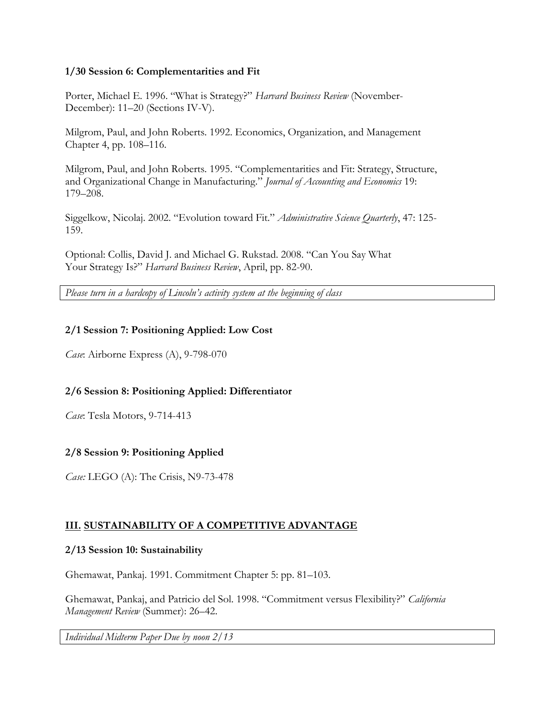### **1/30 Session 6: Complementarities and Fit**

Porter, Michael E. 1996. "What is Strategy?" *Harvard Business Review* (November-December): 11–20 (Sections IV-V).

Milgrom, Paul, and John Roberts. 1992. Economics, Organization, and Management Chapter 4, pp. 108–116.

Milgrom, Paul, and John Roberts. 1995. "Complementarities and Fit: Strategy, Structure, and Organizational Change in Manufacturing." *Journal of Accounting and Economics* 19: 179–208.

Siggelkow, Nicolaj. 2002. "Evolution toward Fit." *Administrative Science Quarterly*, 47: 125- 159.

Optional: Collis, David J. and Michael G. Rukstad. 2008. "Can You Say What Your Strategy Is?" *Harvard Business Review*, April, pp. 82-90.

*Please turn in a hardcopy of Lincoln's activity system at the beginning of class*

### **2/1 Session 7: Positioning Applied: Low Cost**

*Case*: Airborne Express (A), 9-798-070

### **2/6 Session 8: Positioning Applied: Differentiator**

*Case*: Tesla Motors, 9-714-413

### **2/8 Session 9: Positioning Applied**

*Case:* LEGO (A): The Crisis, N9-73-478

### **III. SUSTAINABILITY OF A COMPETITIVE ADVANTAGE**

### **2/13 Session 10: Sustainability**

Ghemawat, Pankaj. 1991. Commitment Chapter 5: pp. 81–103.

Ghemawat, Pankaj, and Patricio del Sol. 1998. "Commitment versus Flexibility?" *California Management Review* (Summer): 26–42.

*Individual Midterm Paper Due by noon 2/13*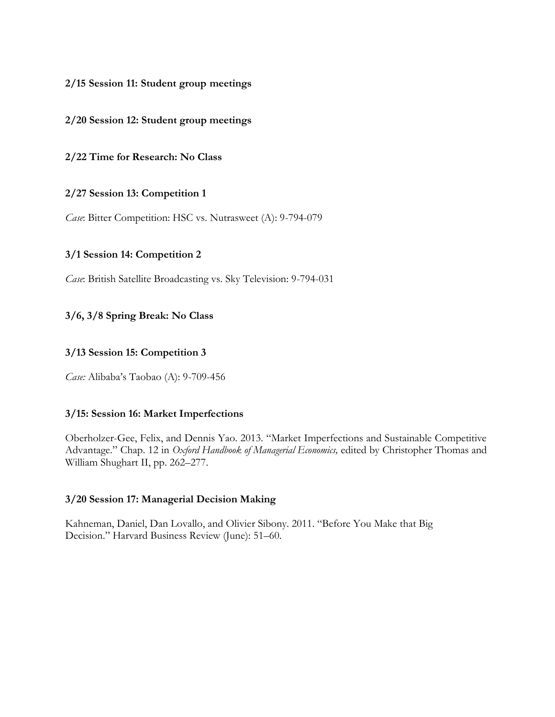### **2/15 Session 11: Student group meetings**

#### **2/20 Session 12: Student group meetings**

**2/22 Time for Research: No Class**

#### **2/27 Session 13: Competition 1**

*Case*: Bitter Competition: HSC vs. Nutrasweet (A): 9-794-079

#### **3/1 Session 14: Competition 2**

*Case*: British Satellite Broadcasting vs. Sky Television: 9-794-031

### **3/6, 3/8 Spring Break: No Class**

#### **3/13 Session 15: Competition 3**

*Case:* Alibaba's Taobao (A): 9-709-456

#### **3/15: Session 16: Market Imperfections**

Oberholzer-Gee, Felix, and Dennis Yao. 2013. "Market Imperfections and Sustainable Competitive Advantage." Chap. 12 in *Oxford Handbook of Managerial Economics,* edited by Christopher Thomas and William Shughart II, pp. 262–277.

#### **3/20 Session 17: Managerial Decision Making**

Kahneman, Daniel, Dan Lovallo, and Olivier Sibony. 2011. "Before You Make that Big Decision." Harvard Business Review (June): 51–60.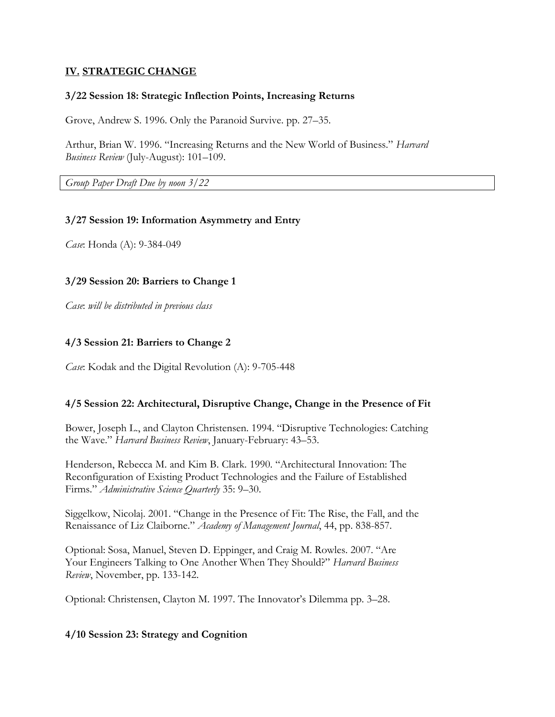# **IV. STRATEGIC CHANGE**

#### **3/22 Session 18: Strategic Inflection Points, Increasing Returns**

Grove, Andrew S. 1996. Only the Paranoid Survive. pp. 27–35.

Arthur, Brian W. 1996. "Increasing Returns and the New World of Business." *Harvard Business Review* (July-August): 101–109.

*Group Paper Draft Due by noon 3/22*

#### **3/27 Session 19: Information Asymmetry and Entry**

*Case*: Honda (A): 9-384-049

### **3/29 Session 20: Barriers to Change 1**

*Case*: *will be distributed in previous class*

### **4/3 Session 21: Barriers to Change 2**

*Case*: Kodak and the Digital Revolution (A): 9-705-448

### **4/5 Session 22: Architectural, Disruptive Change, Change in the Presence of Fit**

Bower, Joseph L., and Clayton Christensen. 1994. "Disruptive Technologies: Catching the Wave." *Harvard Business Review*, January-February: 43–53.

Henderson, Rebecca M. and Kim B. Clark. 1990. "Architectural Innovation: The Reconfiguration of Existing Product Technologies and the Failure of Established Firms." *Administrative Science Quarterly* 35: 9–30.

Siggelkow, Nicolaj. 2001. "Change in the Presence of Fit: The Rise, the Fall, and the Renaissance of Liz Claiborne." *Academy of Management Journal*, 44, pp. 838-857.

Optional: Sosa, Manuel, Steven D. Eppinger, and Craig M. Rowles. 2007. "Are Your Engineers Talking to One Another When They Should?" *Harvard Business Review*, November, pp. 133-142.

Optional: Christensen, Clayton M. 1997. The Innovator's Dilemma pp. 3–28.

### **4/10 Session 23: Strategy and Cognition**